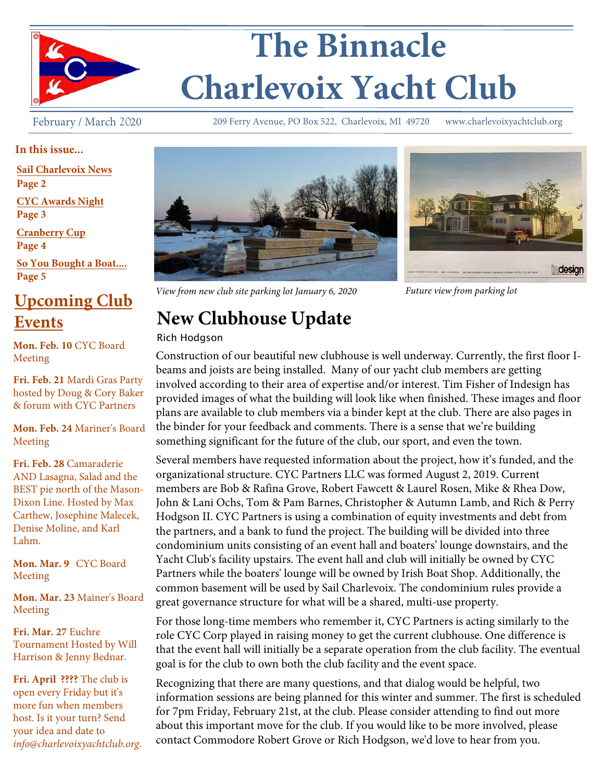

# **The Binnacle Charlevoix Yacht Club**

February / March 2020

209 Ferry Avenue, PO Box 522, Charlevoix, MI 49720 www.charlevoixyachtclub.org

#### **In this issue...**

**Sail Charlevoix News**

**Page 2**

**CYC Awards Night Page 3**

**Cranberry Cup Page 4**

**So You Bought a Boat.... Page 5**

## **Upcoming Club Events**

**Mon. Feb. 10** CYC Board Meeting

**Fri. Feb. 21** Mardi Gras Party hosted by Doug & Cory Baker & forum with CYC Partners

**Mon. Feb. 24** Mariner's Board Meeting

**Fri. Feb. 28** Camaraderie AND Lasagna, Salad and the BEST pie north of the Mason-Dixon Line. Hosted by Max Carthew, Josephine Malecek, Denise Moline, and Karl Lahm.

**Mon. Mar. 9** CYC Board Meeting

**Mon. Mar. 23** Mainer's Board Meeting

**Fri. Mar. 27** Euchre Tournament Hosted by Will Harrison & Jenny Bednar.

**Fri. April ????** The club is open every Friday but it's more fun when members host. Is it your turn? Send your idea and date to *info@charlevoixyachtclub.org*.





*View from new club site parking lot January 6, 2020 Future view from parking lot* 

# **New Clubhouse Update**

#### Rich Hodgson

Construction of our beautiful new clubhouse is well underway. Currently, the first floor Ibeams and joists are being installed. Many of our yacht club members are getting involved according to their area of expertise and/or interest. Tim Fisher of Indesign has provided images of what the building will look like when finished. These images and floor plans are available to club members via a binder kept at the club. There are also pages in the binder for your feedback and comments. There is a sense that we're building something significant for the future of the club, our sport, and even the town.

Several members have requested information about the project, how it's funded, and the organizational structure. CYC Partners LLC was formed August 2, 2019. Current members are Bob & Rafina Grove, Robert Fawcett & Laurel Rosen, Mike & Rhea Dow, John & Lani Ochs, Tom & Pam Barnes, Christopher & Autumn Lamb, and Rich & Perry Hodgson II. CYC Partners is using a combination of equity investments and debt from the partners, and a bank to fund the project. The building will be divided into three condominium units consisting of an event hall and boaters' lounge downstairs, and the Yacht Club's facility upstairs. The event hall and club will initially be owned by CYC Partners while the boaters' lounge will be owned by Irish Boat Shop. Additionally, the common basement will be used by Sail Charlevoix. The condominium rules provide a great governance structure for what will be a shared, multi-use property.

For those long-time members who remember it, CYC Partners is acting similarly to the role CYC Corp played in raising money to get the current clubhouse. One difference is that the event hall will initially be a separate operation from the club facility. The eventual goal is for the club to own both the club facility and the event space.

Recognizing that there are many questions, and that dialog would be helpful, two information sessions are being planned for this winter and summer. The first is scheduled for 7pm Friday, February 21st, at the club. Please consider attending to find out more about this important move for the club. If you would like to be more involved, please contact Commodore Robert Grove or Rich Hodgson, we'd love to hear from you.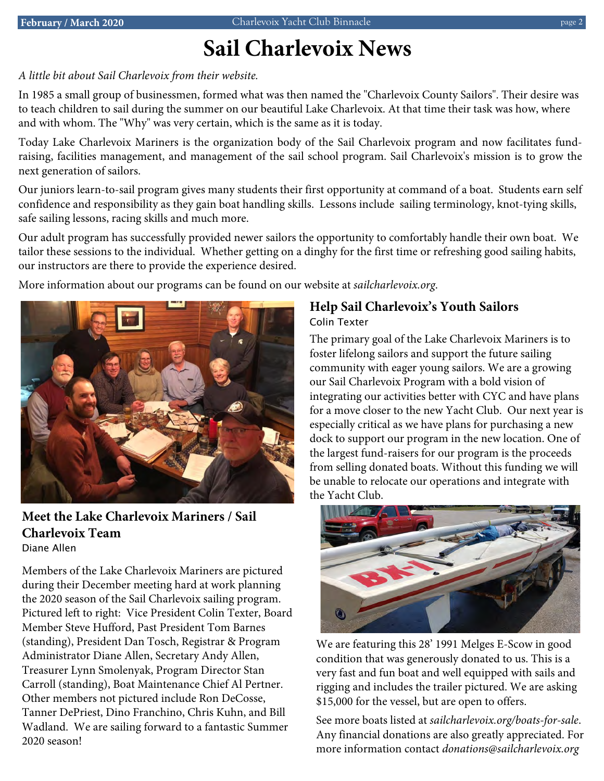#### page 2

# *Elevations* **Sail Charlevoix News**

#### *A little bit about Sail Charlevoix from their website.*

In 1985 a small group of businessmen, formed what was then named the "Charlevoix County Sailors". Their desire was to teach children to sail during the summer on our beautiful Lake Charlevoix. At that time their task was how, where and with whom. The "Why" was very certain, which is the same as it is today.

Today Lake Charlevoix Mariners is the organization body of the Sail Charlevoix program and now facilitates fundraising, facilities management, and management of the sail school program. Sail Charlevoix's mission is to grow the next generation of sailors.

Our juniors learn-to-sail program gives many students their first opportunity at command of a boat. Students earn self confidence and responsibility as they gain boat handling skills. Lessons include sailing terminology, knot-tying skills, safe sailing lessons, racing skills and much more.

Our adult program has successfully provided newer sailors the opportunity to comfortably handle their own boat. We tailor these sessions to the individual. Whether getting on a dinghy for the first time or refreshing good sailing habits, our instructors are there to provide the experience desired.

More information about our programs can be found on our website at *sailcharlevoix.org*.



**Meet the Lake Charlevoix Mariners / Sail Charlevoix Team** Diane Allen

Members of the Lake Charlevoix Mariners are pictured during their December meeting hard at work planning the 2020 season of the Sail Charlevoix sailing program. Pictured left to right: Vice President Colin Texter, Board Member Steve Hufford, Past President Tom Barnes (standing), President Dan Tosch, Registrar & Program Administrator Diane Allen, Secretary Andy Allen, Treasurer Lynn Smolenyak, Program Director Stan Carroll (standing), Boat Maintenance Chief Al Pertner. Other members not pictured include Ron DeCosse, Tanner DePriest, Dino Franchino, Chris Kuhn, and Bill Wadland. We are sailing forward to a fantastic Summer 2020 season!

#### **Help Sail Charlevoix's Youth Sailors** Colin Texter

The primary goal of the Lake Charlevoix Mariners is to foster lifelong sailors and support the future sailing community with eager young sailors. We are a growing our Sail Charlevoix Program with a bold vision of integrating our activities better with CYC and have plans for a move closer to the new Yacht Club. Our next year is especially critical as we have plans for purchasing a new dock to support our program in the new location. One of the largest fund-raisers for our program is the proceeds from selling donated boats. Without this funding we will be unable to relocate our operations and integrate with the Yacht Club.



We are featuring this 28' 1991 Melges E-Scow in good condition that was generously donated to us. This is a very fast and fun boat and well equipped with sails and rigging and includes the trailer pictured. We are asking \$15,000 for the vessel, but are open to offers.

See more boats listed at *sailcharlevoix.org/boats-for-sale*. Any financial donations are also greatly appreciated. For more information contact *donations@sailcharlevoix.org*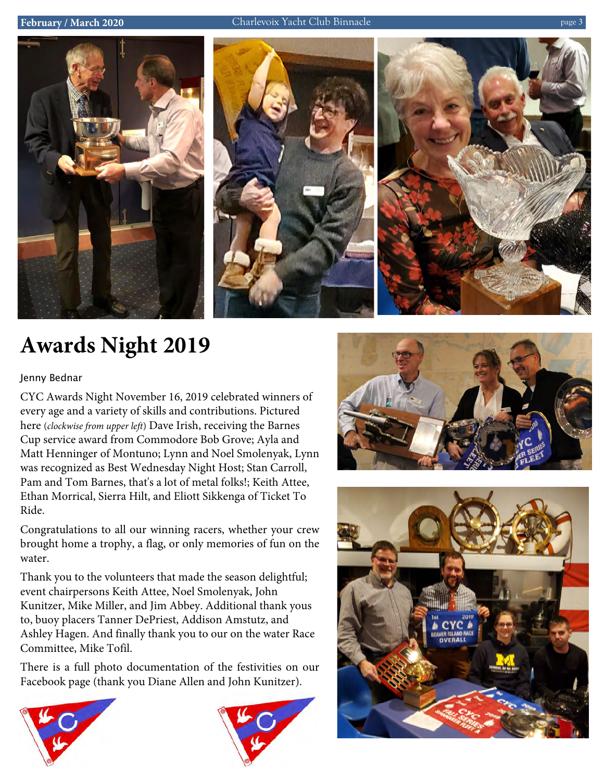

# **Awards Night 2019**

#### Jenny Bednar

CYC Awards Night November 16, 2019 celebrated winners of every age and a variety of skills and contributions. Pictured here (*clockwise from upper left*) Dave Irish, receiving the Barnes Cup service award from Commodore Bob Grove; Ayla and Matt Henninger of Montuno; Lynn and Noel Smolenyak, Lynn was recognized as Best Wednesday Night Host; Stan Carroll, Pam and Tom Barnes, that's a lot of metal folks!; Keith Attee, Ethan Morrical, Sierra Hilt, and Eliott Sikkenga of Ticket To Ride.

Congratulations to all our winning racers, whether your crew brought home a trophy, a flag, or only memories of fun on the water.

Thank you to the volunteers that made the season delightful; event chairpersons Keith Attee, Noel Smolenyak, John Kunitzer, Mike Miller, and Jim Abbey. Additional thank yous to, buoy placers Tanner DePriest, Addison Amstutz, and Ashley Hagen. And finally thank you to our on the water Race Committee, Mike Tofil.

There is a full photo documentation of the festivities on our Facebook page (thank you Diane Allen and John Kunitzer).







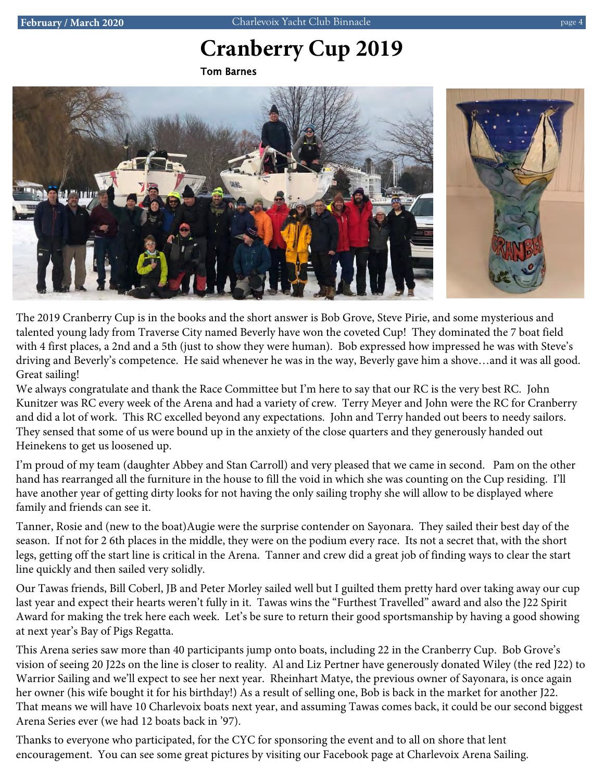#### *Elevations* **Cranberry Cup 2019** *Lakeside/Dockside*

Tom Barnes



*Streetside* The 2019 Cranberry Cup is in the books and the short answer is Bob Grove, Steve Pirie, and some mysterious and talented young lady from Traverse City named Beverly have won the coveted Cup! They dominated the 7 boat field with 4 first places, a 2nd and a 5th (just to show they were human). Bob expressed how impressed he was with Steve's driving and Beverly's competence. He said whenever he was in the way, Beverly gave him a shove…and it was all good. Great sailing!

We always congratulate and thank the Race Committee but I'm here to say that our RC is the very best RC. John Kunitzer was RC every week of the Arena and had a variety of crew. Terry Meyer and John were the RC for Cranberry and did a lot of work. This RC excelled beyond any expectations. John and Terry handed out beers to needy sailors. They sensed that some of us were bound up in the anxiety of the close quarters and they generously handed out Heinekens to get us loosened up.

I'm proud of my team (daughter Abbey and Stan Carroll) and very pleased that we came in second. Pam on the other hand has rearranged all the furniture in the house to fill the void in which she was counting on the Cup residing. I'll have another year of getting dirty looks for not having the only sailing trophy she will allow to be displayed where family and friends can see it.

Tanner, Rosie and (new to the boat)Augie were the surprise contender on Sayonara. They sailed their best day of the season. If not for 2 6th places in the middle, they were on the podium every race. Its not a secret that, with the short legs, getting off the start line is critical in the Arena. Tanner and crew did a great job of finding ways to clear the start line quickly and then sailed very solidly.

Our Tawas friends, Bill Coberl, JB and Peter Morley sailed well but I guilted them pretty hard over taking away our cup last year and expect their hearts weren't fully in it. Tawas wins the "Furthest Travelled" award and also the J22 Spirit Award for making the trek here each week. Let's be sure to return their good sportsmanship by having a good showing at next year's Bay of Pigs Regatta.

This Arena series saw more than 40 participants jump onto boats, including 22 in the Cranberry Cup. Bob Grove's vision of seeing 20 J22s on the line is closer to reality. Al and Liz Pertner have generously donated Wiley (the red J22) to Warrior Sailing and we'll expect to see her next year. Rheinhart Matye, the previous owner of Sayonara, is once again her owner (his wife bought it for his birthday!) As a result of selling one, Bob is back in the market for another J22. That means we will have 10 Charlevoix boats next year, and assuming Tawas comes back, it could be our second biggest Arena Series ever (we had 12 boats back in '97).

Thanks to everyone who participated, for the CYC for sponsoring the event and to all on shore that lent encouragement. You can see some great pictures by visiting our Facebook page at Charlevoix Arena Sailing.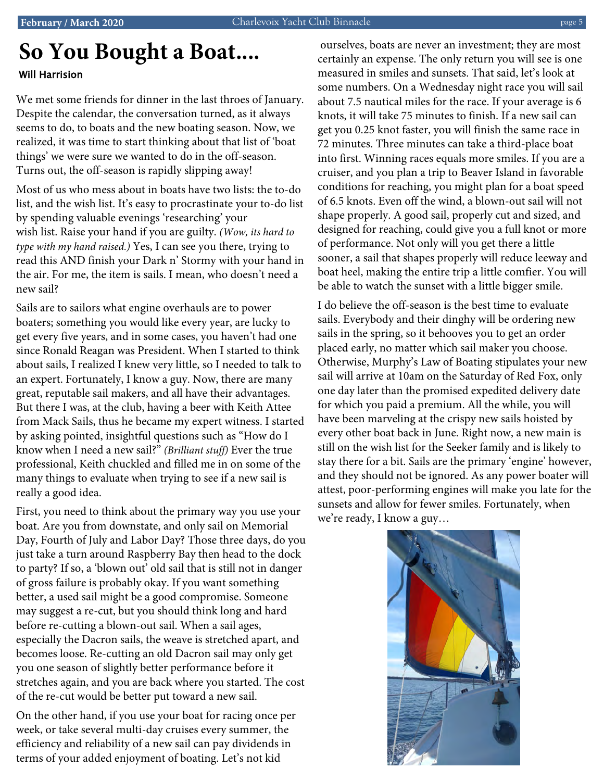### *Lakeside/Dockside* **So You Bought a Boat....** Will Harrision

We met some friends for dinner in the last throes of January. Despite the calendar, the conversation turned, as it always seems to do, to boats and the new boating season. Now, we realized, it was time to start thinking about that list of 'boat things' we were sure we wanted to do in the off-season. Turns out, the off-season is rapidly slipping away!

Most of us who mess about in boats have two lists: the to-do list, and the wish list. It's easy to procrastinate your to-do list by spending valuable evenings 'researching' your wish list. Raise your hand if you are guilty. *(Wow, its hard to type with my hand raised.)* Yes, I can see you there, trying to read this AND finish your Dark n' Stormy with your hand in the air. For me, the item is sails. I mean, who doesn't need a new sail?

*Streetside* Sails are to sailors what engine overhauls are to power boaters; something you would like every year, are lucky to get every five years, and in some cases, you haven't had one since Ronald Reagan was President. When I started to think about sails, I realized I knew very little, so I needed to talk to an expert. Fortunately, I know a guy. Now, there are many great, reputable sail makers, and all have their advantages. But there I was, at the club, having a beer with Keith Attee from Mack Sails, thus he became my expert witness. I started by asking pointed, insightful questions such as "How do I know when I need a new sail?" *(Brilliant stuff)* Ever the true professional, Keith chuckled and filled me in on some of the many things to evaluate when trying to see if a new sail is really a good idea.

First, you need to think about the primary way you use your boat. Are you from downstate, and only sail on Memorial Day, Fourth of July and Labor Day? Those three days, do you just take a turn around Raspberry Bay then head to the dock to party? If so, a 'blown out' old sail that is still not in danger of gross failure is probably okay. If you want something better, a used sail might be a good compromise. Someone may suggest a re-cut, but you should think long and hard before re-cutting a blown-out sail. When a sail ages, especially the Dacron sails, the weave is stretched apart, and becomes loose. Re-cutting an old Dacron sail may only get you one season of slightly better performance before it stretches again, and you are back where you started. The cost of the re-cut would be better put toward a new sail.

On the other hand, if you use your boat for racing once per week, or take several multi-day cruises every summer, the efficiency and reliability of a new sail can pay dividends in terms of your added enjoyment of boating. Let's not kid

ourselves, boats are never an investment; they are most certainly an expense. The only return you will see is one measured in smiles and sunsets. That said, let's look at some numbers. On a Wednesday night race you will sail about 7.5 nautical miles for the race. If your average is 6 knots, it will take 75 minutes to finish. If a new sail can get you 0.25 knot faster, you will finish the same race in 72 minutes. Three minutes can take a third-place boat into first. Winning races equals more smiles. If you are a cruiser, and you plan a trip to Beaver Island in favorable conditions for reaching, you might plan for a boat speed of 6.5 knots. Even off the wind, a blown-out sail will not shape properly. A good sail, properly cut and sized, and designed for reaching, could give you a full knot or more of performance. Not only will you get there a little sooner, a sail that shapes properly will reduce leeway and boat heel, making the entire trip a little comfier. You will be able to watch the sunset with a little bigger smile.

> I do believe the off-season is the best time to evaluate sails. Everybody and their dinghy will be ordering new sails in the spring, so it behooves you to get an order placed early, no matter which sail maker you choose. Otherwise, Murphy's Law of Boating stipulates your new sail will arrive at 10am on the Saturday of Red Fox, only one day later than the promised expedited delivery date for which you paid a premium. All the while, you will have been marveling at the crispy new sails hoisted by every other boat back in June. Right now, a new main is still on the wish list for the Seeker family and is likely to stay there for a bit. Sails are the primary 'engine' however, and they should not be ignored. As any power boater will attest, poor-performing engines will make you late for the sunsets and allow for fewer smiles. Fortunately, when we're ready, I know a guy…